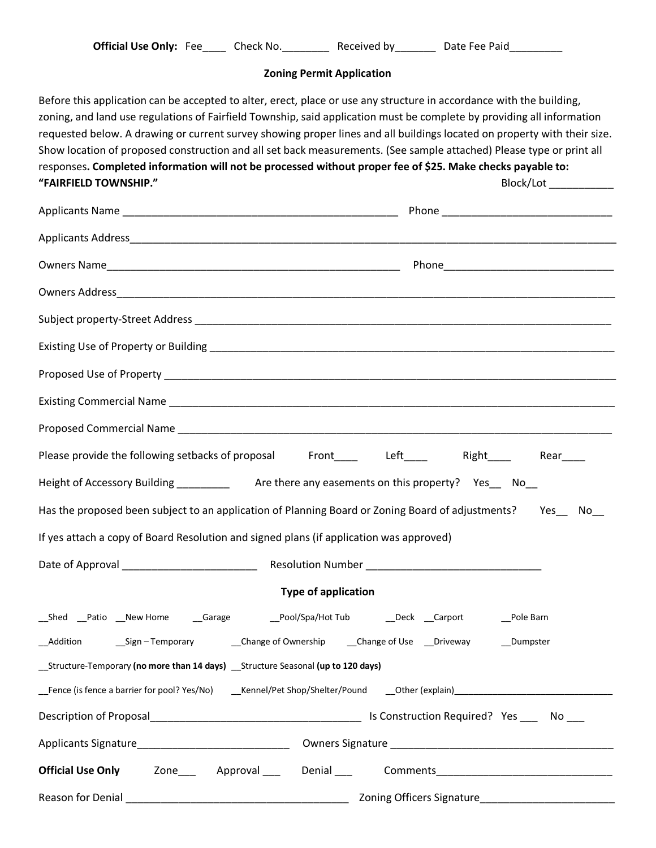| <b>Official Use Only: Fee</b> |  | Check No. | Received by | Date Fee Paid |
|-------------------------------|--|-----------|-------------|---------------|
|-------------------------------|--|-----------|-------------|---------------|

## **Zoning Permit Application**

Before this application can be accepted to alter, erect, place or use any structure in accordance with the building, zoning, and land use regulations of Fairfield Township, said application must be complete by providing all information requested below. A drawing or current survey showing proper lines and all buildings located on property with their size. Show location of proposed construction and all set back measurements. (See sample attached) Please type or print all responses**. Completed information will not be processed without proper fee of \$25. Make checks payable to: "FAIRFIELD TOWNSHIP."** Block/Lot \_\_\_\_\_\_\_\_\_\_\_

| Please provide the following setbacks of proposal Front____ Left____ Right___ Rear___                                          |  |  |  |  |  |
|--------------------------------------------------------------------------------------------------------------------------------|--|--|--|--|--|
| Height of Accessory Building ______________ Are there any easements on this property? Yes___ No__                              |  |  |  |  |  |
| Has the proposed been subject to an application of Planning Board or Zoning Board of adjustments?<br>Yes<br>$No$ <sub>__</sub> |  |  |  |  |  |
| If yes attach a copy of Board Resolution and signed plans (if application was approved)                                        |  |  |  |  |  |
|                                                                                                                                |  |  |  |  |  |
| <b>Type of application</b>                                                                                                     |  |  |  |  |  |
| __Shed __Patio __New Home    __Garage      __Pool/Spa/Hot Tub     __Deck __Carport     __Pole Barn                             |  |  |  |  |  |
|                                                                                                                                |  |  |  |  |  |
| __Structure-Temporary (no more than 14 days) __Structure Seasonal (up to 120 days)                                             |  |  |  |  |  |
|                                                                                                                                |  |  |  |  |  |
|                                                                                                                                |  |  |  |  |  |
|                                                                                                                                |  |  |  |  |  |
|                                                                                                                                |  |  |  |  |  |
|                                                                                                                                |  |  |  |  |  |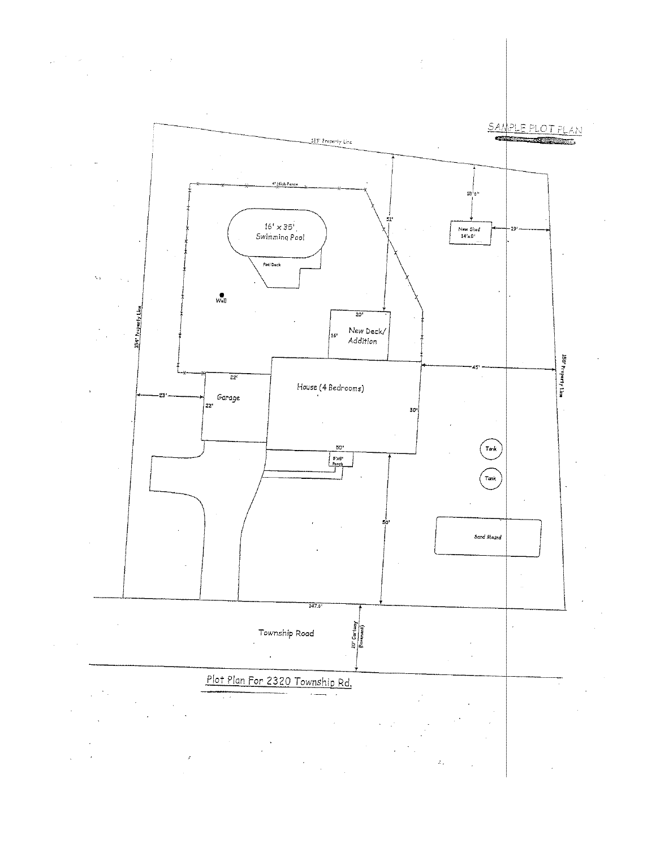